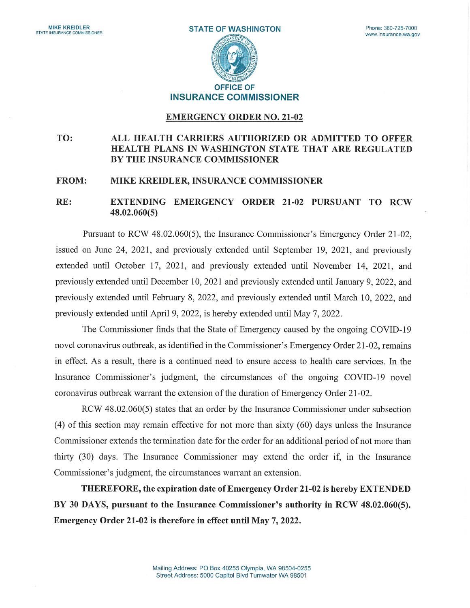

# INSURANCE COMMISSIONER

#### EMERGENCY ORDER N0. 21-02

## TO: ALL HEALTH CARRIERS AUTHORIZED OR ADMITTED TO OFFER HEALTH PLANS IN WASHINGTON STATE THAT ARE REGULATED BY THE INSURANCE COMMISSIONER

#### FROM: MIKE KREIDLER, INSURANCE COMMISSIONER

## RE: EXTENDING EMERGENCY ORDER 21-02 PURSUANT TO RCW 48.02.060(5)

Pursuant to RCW 48.02.060(5), the Insurance Commissioner's Emergency Order 21-02, issued on June 24, 2021, and previously extended until September 19, 2021, and previously extended until October 17, 2021, and previously extended until November 14, 2021, and previously extended until December 10, 2021 and previously extended until January 9, 2022, and previously extended until February 8, 2022, and previously extended until March 10, 2022, and previously extended until April 9, 2022, is hereby extended until May 7, 2022.

The Commissioner finds that the State of Emergency caused by the ongoing COVID-19 novel coronavirus outbreak, as identified in the Commissioner's Emergency Order 21-02, remains in effect. As a result, there is a continued need to ensure access to health care services. In the Insurance Commissioner's judgment, the circumstances of the ongoing COVID-19 novel coronavirus outbreak warrant the extension of the duration of Emergency Order 21-02.

RCW 48.02.060(5) states that an order by the Insurance Commissioner under subsection (4) of this section may remain effective for not more than sixty (60) days unless the Insurance Commissioner extends the termination date for the order for an additional period of not more than thirty (30) days. The Insurance Commissioner may extend the order if, in the Insurance Commissioner's judgment, the circumstances warrant an extension.

THEREFORE, the expiration date of Emergency Order 21-02 is hereby EXTENDED BY 30 DAYS, pursuant to the Insurance Commissioner's authority in RCW 48.02.060(5). Emergency Order 21-02 is therefore in effect until May 7, 2022.